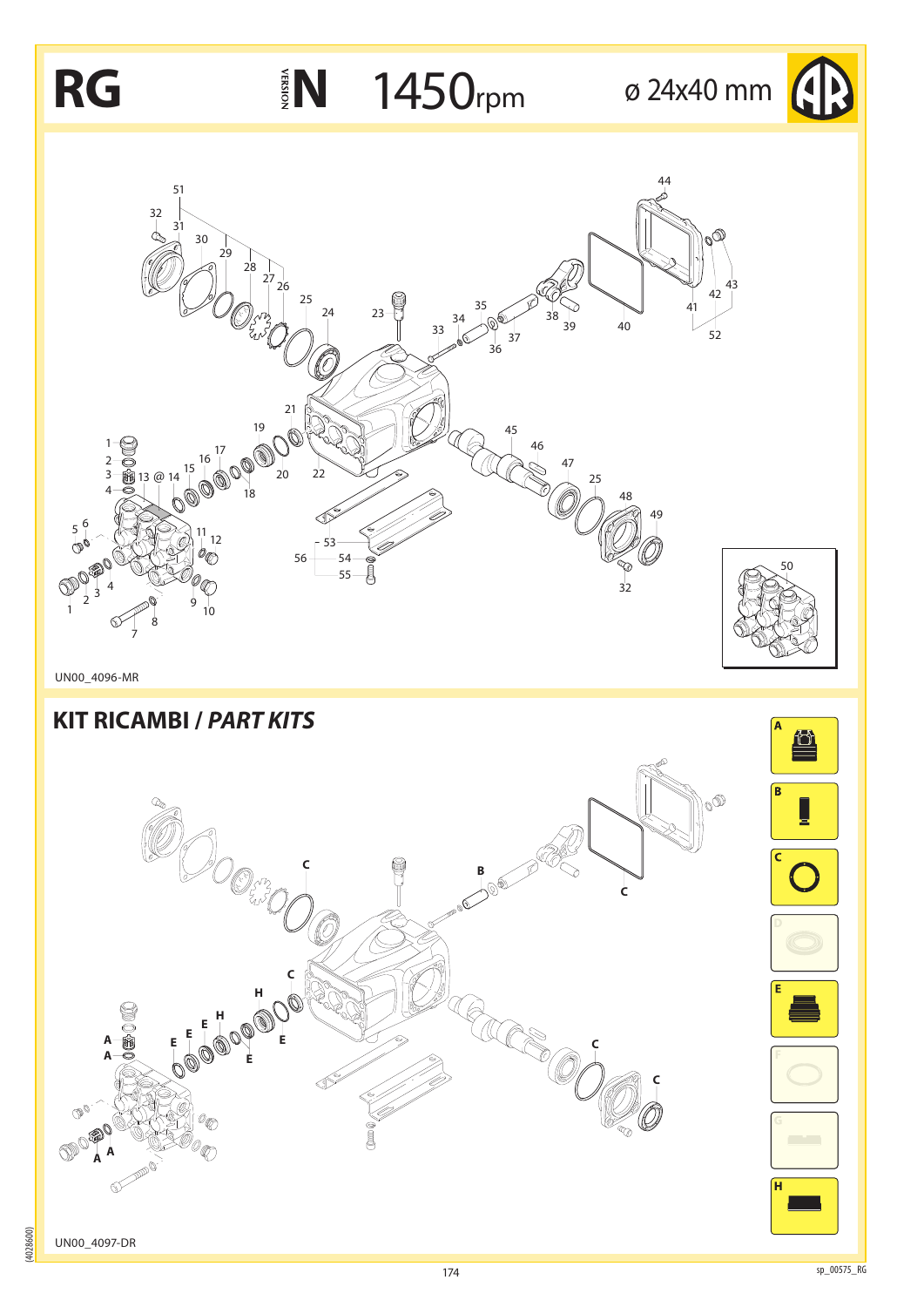

(4028600)